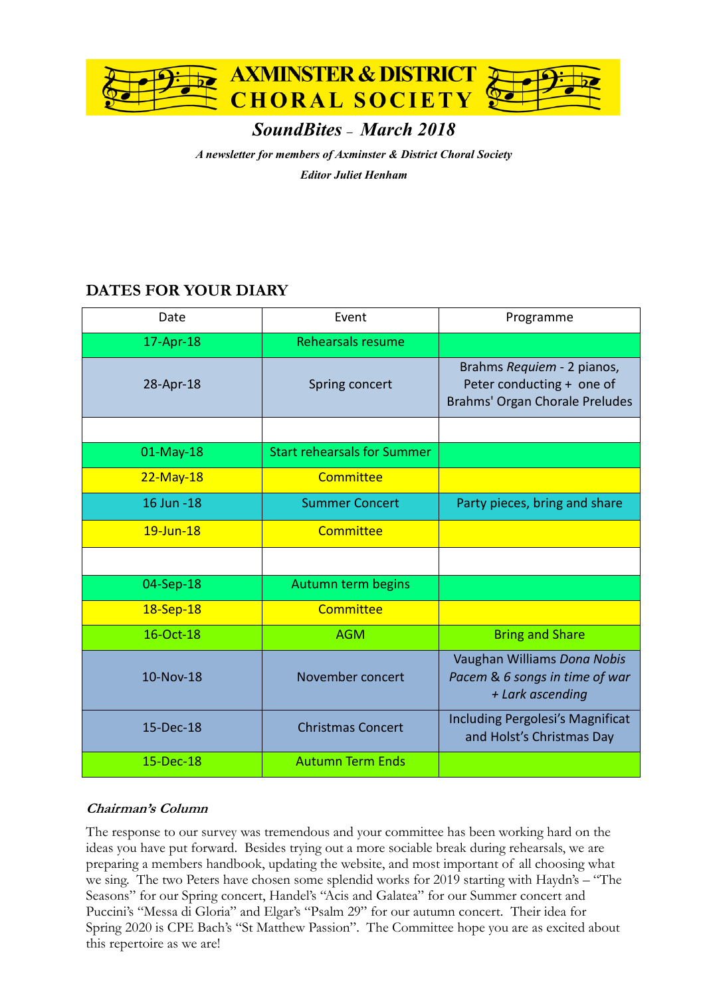

# *SoundBites – March 2018*

*A newsletter for members of Axminster & District Choral Society*

*Editor Juliet Henham*

# **DATES FOR YOUR DIARY**

| Date         | Event                              | Programme                                                                                 |
|--------------|------------------------------------|-------------------------------------------------------------------------------------------|
| 17-Apr-18    | Rehearsals resume                  |                                                                                           |
| 28-Apr-18    | Spring concert                     | Brahms Requiem - 2 pianos,<br>Peter conducting + one of<br>Brahms' Organ Chorale Preludes |
|              |                                    |                                                                                           |
| 01-May-18    | <b>Start rehearsals for Summer</b> |                                                                                           |
| $22$ -May-18 | Committee                          |                                                                                           |
| 16 Jun - 18  | <b>Summer Concert</b>              | Party pieces, bring and share                                                             |
| $19$ -Jun-18 | Committee                          |                                                                                           |
|              |                                    |                                                                                           |
| 04-Sep-18    | Autumn term begins                 |                                                                                           |
| 18-Sep-18    | Committee                          |                                                                                           |
| 16-Oct-18    | <b>AGM</b>                         | <b>Bring and Share</b>                                                                    |
| 10-Nov-18    | November concert                   | Vaughan Williams Dona Nobis<br>Pacem & 6 songs in time of war<br>+ Lark ascending         |
| 15-Dec-18    | <b>Christmas Concert</b>           | Including Pergolesi's Magnificat<br>and Holst's Christmas Day                             |
| 15-Dec-18    | <b>Autumn Term Ends</b>            |                                                                                           |

# **Chairman's Column**

The response to our survey was tremendous and your committee has been working hard on the ideas you have put forward. Besides trying out a more sociable break during rehearsals, we are preparing a members handbook, updating the website, and most important of all choosing what we sing. The two Peters have chosen some splendid works for 2019 starting with Haydn's – "The Seasons" for our Spring concert, Handel's "Acis and Galatea" for our Summer concert and Puccini's "Messa di Gloria" and Elgar's "Psalm 29" for our autumn concert. Their idea for Spring 2020 is CPE Bach's "St Matthew Passion". The Committee hope you are as excited about this repertoire as we are!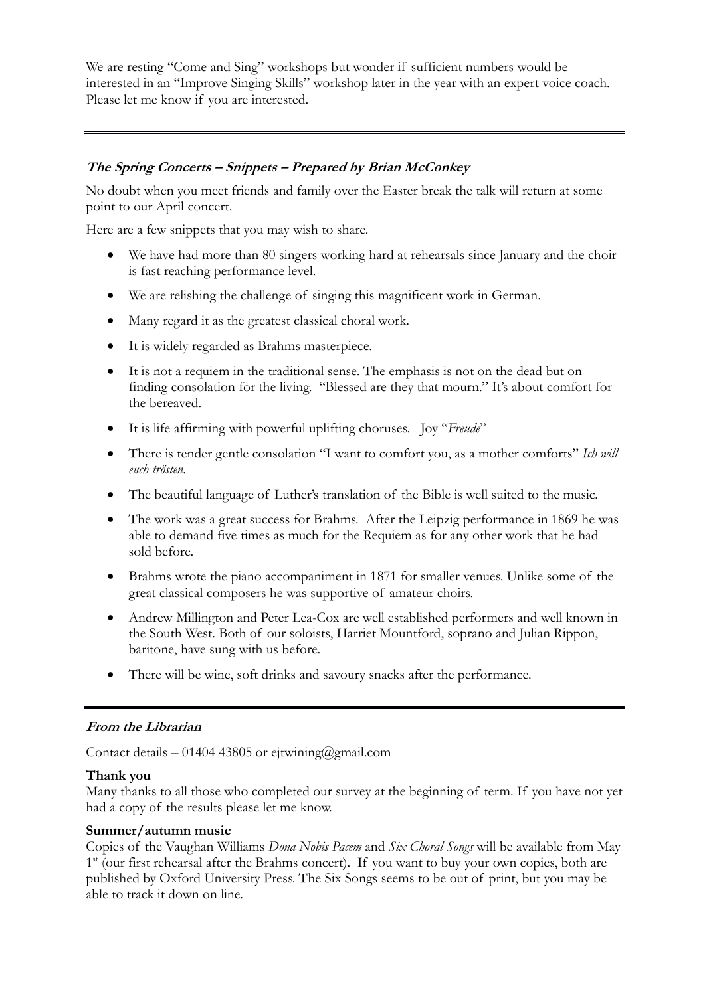We are resting "Come and Sing" workshops but wonder if sufficient numbers would be interested in an "Improve Singing Skills" workshop later in the year with an expert voice coach. Please let me know if you are interested.

### **The Spring Concerts – Snippets – Prepared by Brian McConkey**

No doubt when you meet friends and family over the Easter break the talk will return at some point to our April concert.

Here are a few snippets that you may wish to share.

- We have had more than 80 singers working hard at rehearsals since January and the choir is fast reaching performance level.
- We are relishing the challenge of singing this magnificent work in German.
- Many regard it as the greatest classical choral work.
- It is widely regarded as Brahms masterpiece.
- It is not a requiem in the traditional sense. The emphasis is not on the dead but on finding consolation for the living. "Blessed are they that mourn." It's about comfort for the bereaved.
- It is life affirming with powerful uplifting choruses. Joy "*Freude*"
- There is tender gentle consolation "I want to comfort you, as a mother comforts" *Ich will euch trösten.*
- The beautiful language of Luther's translation of the Bible is well suited to the music.
- The work was a great success for Brahms. After the Leipzig performance in 1869 he was able to demand five times as much for the Requiem as for any other work that he had sold before.
- Brahms wrote the piano accompaniment in 1871 for smaller venues. Unlike some of the great classical composers he was supportive of amateur choirs.
- Andrew Millington and Peter Lea-Cox are well established performers and well known in the South West. Both of our soloists, Harriet Mountford, soprano and Julian Rippon, baritone, have sung with us before.
- There will be wine, soft drinks and savoury snacks after the performance.

# **From the Librarian**

Contact details – 01404 43805 or ejtwining@gmail.com

#### **Thank you**

Many thanks to all those who completed our survey at the beginning of term. If you have not yet had a copy of the results please let me know.

#### **Summer/autumn music**

Copies of the Vaughan Williams *Dona Nobis Pacem* and *Six Choral Songs* will be available from May  $1<sup>st</sup>$  (our first rehearsal after the Brahms concert). If you want to buy your own copies, both are published by Oxford University Press. The Six Songs seems to be out of print, but you may be able to track it down on line.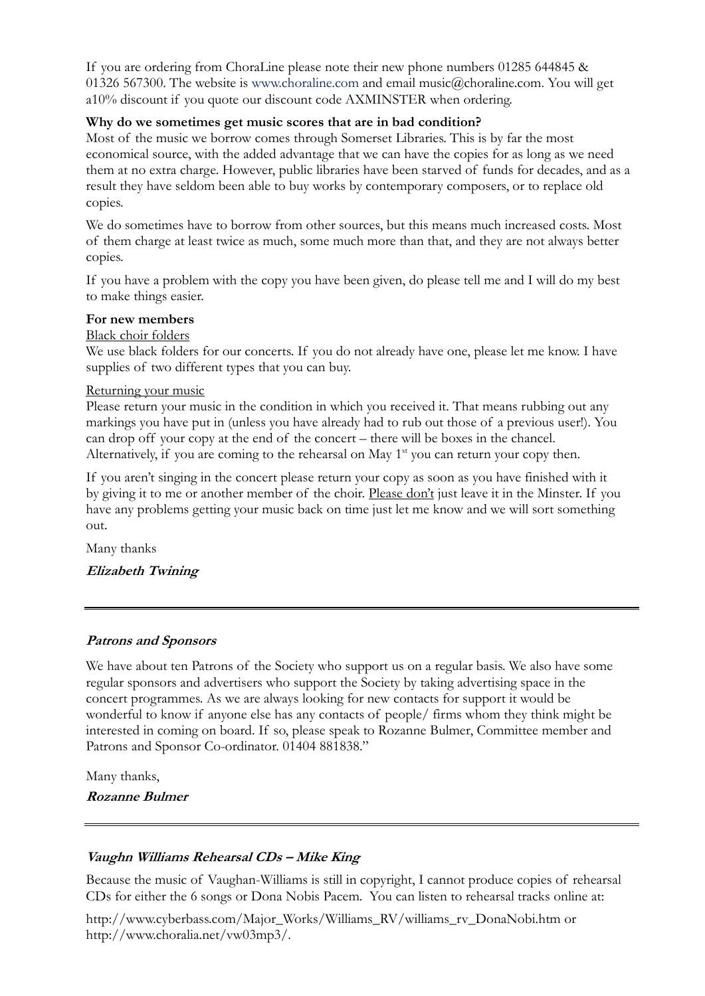If you are ordering from ChoraLine please note their new phone numbers 01285 644845 & 01326 567300. The website is www.choraline.com and email music@choraline.com. You will get a10% discount if you quote our discount code AXMINSTER when ordering.

#### **Why do we sometimes get music scores that are in bad condition?**

Most of the music we borrow comes through Somerset Libraries. This is by far the most economical source, with the added advantage that we can have the copies for as long as we need them at no extra charge. However, public libraries have been starved of funds for decades, and as a result they have seldom been able to buy works by contemporary composers, or to replace old copies.

We do sometimes have to borrow from other sources, but this means much increased costs. Most of them charge at least twice as much, some much more than that, and they are not always better copies.

If you have a problem with the copy you have been given, do please tell me and I will do my best to make things easier.

#### **For new members**

Black choir folders

We use black folders for our concerts. If you do not already have one, please let me know. I have supplies of two different types that you can buy.

#### Returning your music

Please return your music in the condition in which you received it. That means rubbing out any markings you have put in (unless you have already had to rub out those of a previous user!). You can drop off your copy at the end of the concert – there will be boxes in the chancel. Alternatively, if you are coming to the rehearsal on May  $1<sup>st</sup>$  you can return your copy then.

If you aren't singing in the concert please return your copy as soon as you have finished with it by giving it to me or another member of the choir. Please don't just leave it in the Minster. If you have any problems getting your music back on time just let me know and we will sort something out.

Many thanks

#### **Elizabeth Twining**

#### **Patrons and Sponsors**

We have about ten Patrons of the Society who support us on a regular basis. We also have some regular sponsors and advertisers who support the Society by taking advertising space in the concert programmes. As we are always looking for new contacts for support it would be wonderful to know if anyone else has any contacts of people/ firms whom they think might be interested in coming on board. If so, please speak to Rozanne Bulmer, Committee member and Patrons and Sponsor Co-ordinator. 01404 881838."

Many thanks, **Rozanne Bulmer**

#### **Vaughn Williams Rehearsal CDs – Mike King**

Because the music of Vaughan-Williams is still in copyright, I cannot produce copies of rehearsal CDs for either the 6 songs or Dona Nobis Pacem. You can listen to rehearsal tracks online at:

http://www.cyberbass.com/Major\_Works/Williams\_RV/williams\_rv\_DonaNobi.htm or http://www.choralia.net/vw03mp3/.